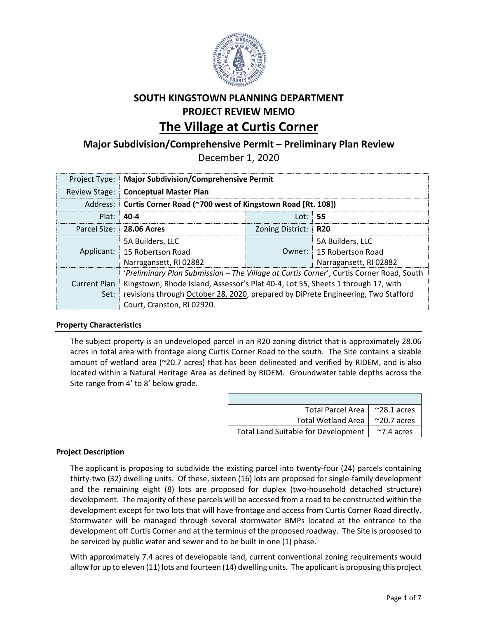

# **SOUTH KINGSTOWN PLANNING DEPARTMENT PROJECT REVIEW MEMO The Village at Curtis Corner**

## **Major Subdivision/Comprehensive Permit – Preliminary Plan Review**

December 1, 2020

|              | Project Type:   Major Subdivision/Comprehensive Permit                                          |  |                          |  |  |
|--------------|-------------------------------------------------------------------------------------------------|--|--------------------------|--|--|
|              | Review Stage: Conceptual Master Plan                                                            |  |                          |  |  |
|              | Address: Curtis Corner Road (~700 west of Kingstown Road [Rt. 108])                             |  |                          |  |  |
| $Plat: 40-4$ | Lot: $55$                                                                                       |  |                          |  |  |
|              | Parcel Size: 28.06 Acres<br>Zoning District: R20                                                |  |                          |  |  |
|              | 5A Builders, LLC                                                                                |  | 5A Builders. LLC         |  |  |
|              | Applicant: 15 Robertson Road                                                                    |  | Owner: 15 Robertson Road |  |  |
|              | Narragansett, RI 02882                                                                          |  | Narragansett, RI 02882   |  |  |
|              | 'Preliminary Plan Submission - The Village at Curtis Corner', Curtis Corner Road, South         |  |                          |  |  |
|              | Current Plan   Kingstown, Rhode Island, Assessor's Plat 40-4, Lot 55, Sheets 1 through 17, with |  |                          |  |  |
|              | Set:   revisions through October 28, 2020, prepared by DiPrete Engineering, Two Stafford        |  |                          |  |  |
|              | Court, Cranston, RI 02920.                                                                      |  |                          |  |  |

#### **Property Characteristics**

The subject property is an undeveloped parcel in an R20 zoning district that is approximately 28.06 acres in total area with frontage along Curtis Corner Road to the south. The Site contains a sizable amount of wetland area (~20.7 acres) that has been delineated and verified by RIDEM, and is also located within a Natural Heritage Area as defined by RIDEM. Groundwater table depths across the Site range from 4' to 8' below grade.

| <b>Total Parcel Area</b>            | $~^{\sim}$ 28.1 acres |
|-------------------------------------|-----------------------|
| <b>Total Wetland Area</b>           | $^{\sim}$ 20.7 acres  |
| Total Land Suitable for Development | $\sim$ 7.4 acres      |

### **Project Description**

The applicant is proposing to subdivide the existing parcel into twenty-four (24) parcels containing thirty-two (32) dwelling units. Of these, sixteen (16) lots are proposed for single-family development and the remaining eight (8) lots are proposed for duplex (two-household detached structure) development. The majority of these parcels will be accessed from a road to be constructed within the development except for two lots that will have frontage and access from Curtis Corner Road directly. Stormwater will be managed through several stormwater BMPs located at the entrance to the development off Curtis Corner and at the terminus of the proposed roadway. The Site is proposed to be serviced by public water and sewer and to be built in one (1) phase.

With approximately 7.4 acres of developable land, current conventional zoning requirements would allow for up to eleven (11) lots and fourteen (14) dwelling units. The applicant is proposing this project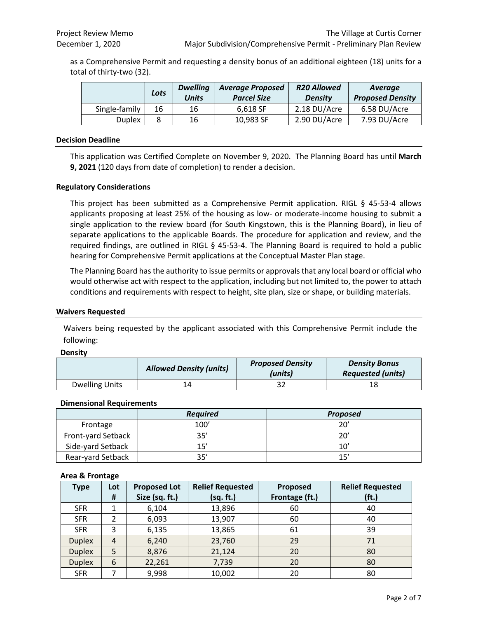as a Comprehensive Permit and requesting a density bonus of an additional eighteen (18) units for a total of thirty-two (32).

|               | Lots | <b>Dwelling</b><br><b>Units</b> | <b>Average Proposed</b><br><b>Parcel Size</b> | <b>R20 Allowed</b><br><b>Density</b> | Average<br><b>Proposed Density</b> |
|---------------|------|---------------------------------|-----------------------------------------------|--------------------------------------|------------------------------------|
| Single-family | 16   | 16                              | 6.618 SF                                      | 2.18 DU/Acre                         | 6.58 DU/Acre                       |
| <b>Duplex</b> |      | 16                              | 10,983 SF                                     | 2.90 DU/Acre                         | 7.93 DU/Acre                       |

#### **Decision Deadline**

This application was Certified Complete on November 9, 2020. The Planning Board has until **March 9, 2021** (120 days from date of completion) to render a decision.

#### **Regulatory Considerations**

This project has been submitted as a Comprehensive Permit application. RIGL § 45-53-4 allows applicants proposing at least 25% of the housing as low- or moderate-income housing to submit a single application to the review board (for South Kingstown, this is the Planning Board), in lieu of separate applications to the applicable Boards. The procedure for application and review, and the required findings, are outlined in RIGL § 45-53-4. The Planning Board is required to hold a public hearing for Comprehensive Permit applications at the Conceptual Master Plan stage.

The Planning Board has the authority to issue permits or approvals that any local board or official who would otherwise act with respect to the application, including but not limited to, the power to attach conditions and requirements with respect to height, site plan, size or shape, or building materials.

#### **Waivers Requested**

Waivers being requested by the applicant associated with this Comprehensive Permit include the following:

#### **Density**

|                       | <b>Allowed Density (units)</b> | <b>Proposed Density</b><br>(units) | <b>Density Bonus</b><br><b>Requested (units)</b> |
|-----------------------|--------------------------------|------------------------------------|--------------------------------------------------|
| <b>Dwelling Units</b> |                                |                                    | 18                                               |

#### **Dimensional Requirements**

|                    | <b>Required</b> | <b>Proposed</b> |
|--------------------|-----------------|-----------------|
| Frontage           | 100'            | 20'             |
| Front-yard Setback | 35'             | 20'             |
| Side-yard Setback  | 15'             | 10'             |
| Rear-yard Setback  | 35'             | 1 <sup>7</sup>  |

#### **Area & Frontage**

| <b>Type</b>   | Lot | <b>Proposed Lot</b> | <b>Relief Requested</b> | Proposed       | <b>Relief Requested</b> |
|---------------|-----|---------------------|-------------------------|----------------|-------------------------|
|               | #   | Size (sq. ft.)      | (sq. ft.)               | Frontage (ft.) | (f <sub>t</sub> )       |
| <b>SFR</b>    |     | 6,104               | 13,896                  | 60             | 40                      |
| <b>SFR</b>    | າ   | 6,093               | 13,907                  | 60             | 40                      |
| <b>SFR</b>    | 3   | 6,135               | 13,865                  | 61             | 39                      |
| <b>Duplex</b> | 4   | 6,240               | 23,760                  | 29             | 71                      |
| <b>Duplex</b> | 5   | 8,876               | 21,124                  | 20             | 80                      |
| <b>Duplex</b> | 6   | 22,261              | 7,739                   | 20             | 80                      |
| <b>SFR</b>    | ⇁   | 9,998               | 10,002                  | 20             | 80                      |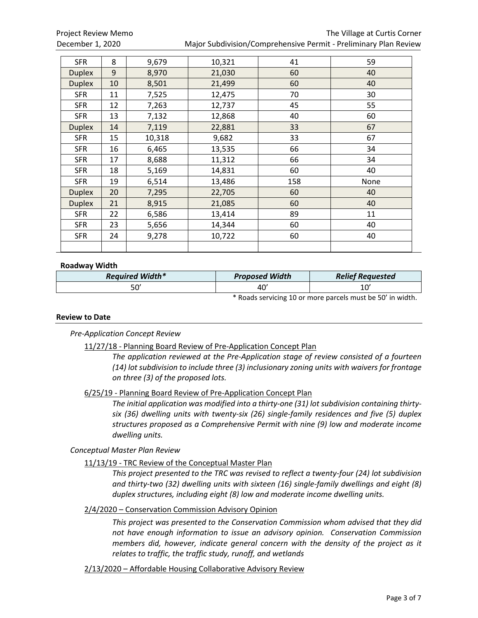| <b>SFR</b>    | 8  | 9,679  | 10,321 | 41  | 59   |
|---------------|----|--------|--------|-----|------|
| <b>Duplex</b> | 9  | 8,970  | 21,030 | 60  | 40   |
| <b>Duplex</b> | 10 | 8,501  | 21,499 | 60  | 40   |
| <b>SFR</b>    | 11 | 7,525  | 12,475 | 70  | 30   |
| <b>SFR</b>    | 12 | 7,263  | 12,737 | 45  | 55   |
| <b>SFR</b>    | 13 | 7,132  | 12,868 | 40  | 60   |
| <b>Duplex</b> | 14 | 7,119  | 22,881 | 33  | 67   |
| <b>SFR</b>    | 15 | 10,318 | 9,682  | 33  | 67   |
| <b>SFR</b>    | 16 | 6,465  | 13,535 | 66  | 34   |
| <b>SFR</b>    | 17 | 8,688  | 11,312 | 66  | 34   |
| <b>SFR</b>    | 18 | 5,169  | 14,831 | 60  | 40   |
| <b>SFR</b>    | 19 | 6,514  | 13,486 | 158 | None |
| <b>Duplex</b> | 20 | 7,295  | 22,705 | 60  | 40   |
| <b>Duplex</b> | 21 | 8,915  | 21,085 | 60  | 40   |
| <b>SFR</b>    | 22 | 6,586  | 13,414 | 89  | 11   |
| <b>SFR</b>    | 23 | 5,656  | 14,344 | 60  | 40   |
| <b>SFR</b>    | 24 | 9,278  | 10,722 | 60  | 40   |
|               |    |        |        |     |      |

#### **Roadway Width**

| <b>Required Width*</b> | <b>Proposed Width</b> | <b>Relief Requested</b> |
|------------------------|-----------------------|-------------------------|
| ۵۰-<br>טע              | $\sim$<br>4U          | 10'                     |

\* Roads servicing 10 or more parcels must be 50' in width.

#### **Review to Date**

*Pre-Application Concept Review*

11/27/18 - Planning Board Review of Pre-Application Concept Plan

*The application reviewed at the Pre-Application stage of review consisted of a fourteen (14) lot subdivision to include three (3) inclusionary zoning units with waivers for frontage on three (3) of the proposed lots.*

6/25/19 - Planning Board Review of Pre-Application Concept Plan

*The initial application was modified into a thirty-one (31) lot subdivision containing thirtysix (36) dwelling units with twenty-six (26) single-family residences and five (5) duplex structures proposed as a Comprehensive Permit with nine (9) low and moderate income dwelling units.*

*Conceptual Master Plan Review*

11/13/19 - TRC Review of the Conceptual Master Plan

*This project presented to the TRC was revised to reflect a twenty-four (24) lot subdivision and thirty-two (32) dwelling units with sixteen (16) single-family dwellings and eight (8) duplex structures, including eight (8) low and moderate income dwelling units.*

#### 2/4/2020 – Conservation Commission Advisory Opinion

*This project was presented to the Conservation Commission whom advised that they did not have enough information to issue an advisory opinion. Conservation Commission members did, however, indicate general concern with the density of the project as it relates to traffic, the traffic study, runoff, and wetlands*

2/13/2020 – Affordable Housing Collaborative Advisory Review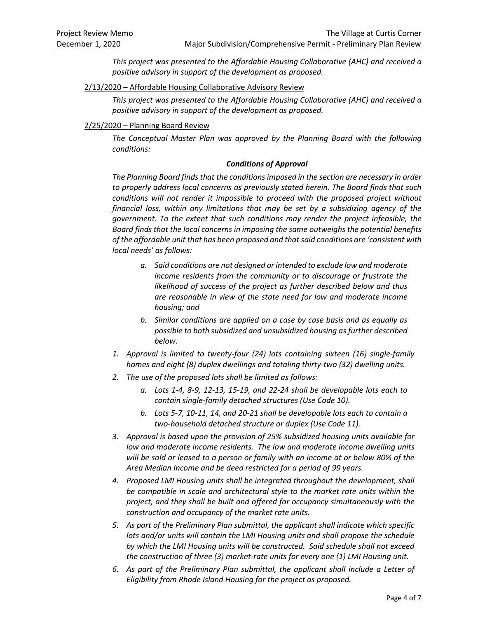*This project was presented to the Affordable Housing Collaborative (AHC) and received a positive advisory in support of the development as proposed.*

2/13/2020 – Affordable Housing Collaborative Advisory Review

*This project was presented to the Affordable Housing Collaborative (AHC) and received a positive advisory in support of the development as proposed.*

#### 2/25/2020 – Planning Board Review

*The Conceptual Master Plan was approved by the Planning Board with the following conditions:*

#### *Conditions of Approval*

*The Planning Board finds that the conditions imposed in the section are necessary in order to properly address local concerns as previously stated herein. The Board finds that such conditions will not render it impossible to proceed with the proposed project without financial loss, within any limitations that may be set by a subsidizing agency of the government. To the extent that such conditions may render the project infeasible, the Board finds that the local concerns in imposing the same outweighs the potential benefits of the affordable unit that has been proposed and that said conditions are 'consistent with local needs' as follows:* 

- *a. Said conditions are not designed or intended to exclude low and moderate income residents from the community or to discourage or frustrate the likelihood of success of the project as further described below and thus are reasonable in view of the state need for low and moderate income housing; and*
- *b. Similar conditions are applied on a case by case basis and as equally as possible to both subsidized and unsubsidized housing as further described below.*
- *1. Approval is limited to twenty-four (24) lots containing sixteen (16) single-family homes and eight (8) duplex dwellings and totaling thirty-two (32) dwelling units.*
- *2. The use of the proposed lots shall be limited as follows:* 
	- *a. Lots 1-4, 8-9, 12-13, 15-19, and 22-24 shall be developable lots each to contain single-family detached structures (Use Code 10).*
	- *b. Lots 5-7, 10-11, 14, and 20-21 shall be developable lots each to contain a two-household detached structure or duplex (Use Code 11).*
- *3. Approval is based upon the provision of 25% subsidized housing units available for low and moderate income residents. The low and moderate income dwelling units will be sold or leased to a person or family with an income at or below 80% of the Area Median Income and be deed restricted for a period of 99 years.*
- *4. Proposed LMI Housing units shall be integrated throughout the development, shall be compatible in scale and architectural style to the market rate units within the project, and they shall be built and offered for occupancy simultaneously with the construction and occupancy of the market rate units.*
- *5. As part of the Preliminary Plan submittal, the applicant shall indicate which specific lots and/or units will contain the LMI Housing units and shall propose the schedule by which the LMI Housing units will be constructed. Said schedule shall not exceed the construction of three (3) market-rate units for every one (1) LMI Housing unit.*
- *6. As part of the Preliminary Plan submittal, the applicant shall include a Letter of Eligibility from Rhode Island Housing for the project as proposed.*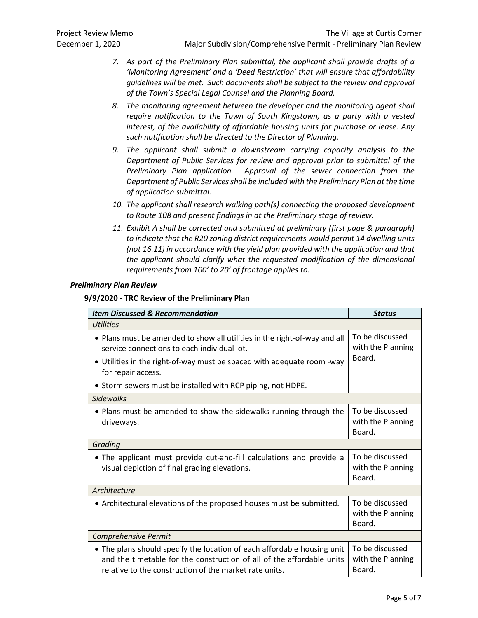- *7. As part of the Preliminary Plan submittal, the applicant shall provide drafts of a 'Monitoring Agreement' and a 'Deed Restriction' that will ensure that affordability guidelines will be met. Such documents shall be subject to the review and approval of the Town's Special Legal Counsel and the Planning Board.*
- *8. The monitoring agreement between the developer and the monitoring agent shall require notification to the Town of South Kingstown, as a party with a vested interest, of the availability of affordable housing units for purchase or lease. Any such notification shall be directed to the Director of Planning.*
- *9. The applicant shall submit a downstream carrying capacity analysis to the Department of Public Services for review and approval prior to submittal of the Preliminary Plan application. Approval of the sewer connection from the Department of Public Services shall be included with the Preliminary Plan at the time of application submittal.*
- *10. The applicant shall research walking path(s) connecting the proposed development to Route 108 and present findings in at the Preliminary stage of review.*
- *11. Exhibit A shall be corrected and submitted at preliminary (first page & paragraph) to indicate that the R20 zoning district requirements would permit 14 dwelling units (not 16.11) in accordance with the yield plan provided with the application and that the applicant should clarify what the requested modification of the dimensional requirements from 100' to 20' of frontage applies to.*

#### *Preliminary Plan Review*

#### **9/9/2020 - TRC Review of the Preliminary Plan**

| <b>Item Discussed &amp; Recommendation</b>                                                                                                                                                                 | <b>Status</b>                                  |
|------------------------------------------------------------------------------------------------------------------------------------------------------------------------------------------------------------|------------------------------------------------|
| <b>Utilities</b>                                                                                                                                                                                           |                                                |
| • Plans must be amended to show all utilities in the right-of-way and all<br>service connections to each individual lot.                                                                                   | To be discussed<br>with the Planning           |
| • Utilities in the right-of-way must be spaced with adequate room -way<br>for repair access.                                                                                                               | Board.                                         |
| • Storm sewers must be installed with RCP piping, not HDPE.                                                                                                                                                |                                                |
| <b>Sidewalks</b>                                                                                                                                                                                           |                                                |
| • Plans must be amended to show the sidewalks running through the<br>driveways.                                                                                                                            | To be discussed<br>with the Planning<br>Board. |
| Grading                                                                                                                                                                                                    |                                                |
| • The applicant must provide cut-and-fill calculations and provide a<br>visual depiction of final grading elevations.                                                                                      | To be discussed<br>with the Planning<br>Board. |
| Architecture                                                                                                                                                                                               |                                                |
| • Architectural elevations of the proposed houses must be submitted.                                                                                                                                       | To be discussed<br>with the Planning<br>Board. |
| <b>Comprehensive Permit</b>                                                                                                                                                                                |                                                |
| . The plans should specify the location of each affordable housing unit<br>and the timetable for the construction of all of the affordable units<br>relative to the construction of the market rate units. | To be discussed<br>with the Planning<br>Board. |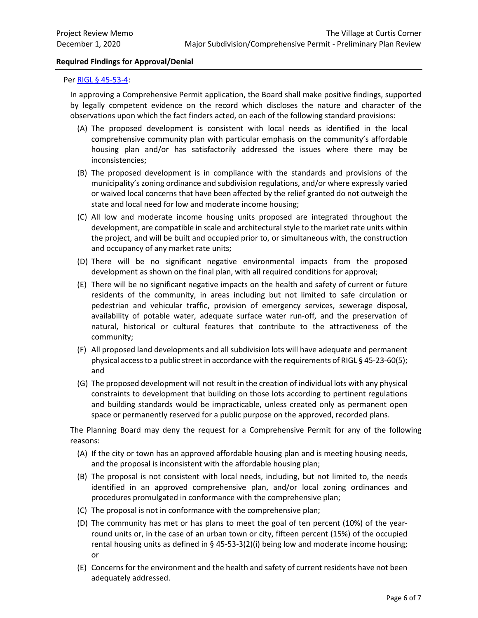#### **Required Findings for Approval/Denial**

#### Per [RIGL § 45-53-4:](http://webserver.rilin.state.ri.us/Statutes/TITLE45/45-53/45-53-4.HTM)

In approving a Comprehensive Permit application, the Board shall make positive findings, supported by legally competent evidence on the record which discloses the nature and character of the observations upon which the fact finders acted, on each of the following standard provisions:

- (A) The proposed development is consistent with local needs as identified in the local comprehensive community plan with particular emphasis on the community's affordable housing plan and/or has satisfactorily addressed the issues where there may be inconsistencies;
- (B) The proposed development is in compliance with the standards and provisions of the municipality's zoning ordinance and subdivision regulations, and/or where expressly varied or waived local concerns that have been affected by the relief granted do not outweigh the state and local need for low and moderate income housing;
- (C) All low and moderate income housing units proposed are integrated throughout the development, are compatible in scale and architectural style to the market rate units within the project, and will be built and occupied prior to, or simultaneous with, the construction and occupancy of any market rate units;
- (D) There will be no significant negative environmental impacts from the proposed development as shown on the final plan, with all required conditions for approval;
- (E) There will be no significant negative impacts on the health and safety of current or future residents of the community, in areas including but not limited to safe circulation or pedestrian and vehicular traffic, provision of emergency services, sewerage disposal, availability of potable water, adequate surface water run-off, and the preservation of natural, historical or cultural features that contribute to the attractiveness of the community;
- (F) All proposed land developments and all subdivision lots will have adequate and permanent physical access to a public street in accordance with the requirements of RIGL § 45-23-60(5); and
- (G) The proposed development will not result in the creation of individual lots with any physical constraints to development that building on those lots according to pertinent regulations and building standards would be impracticable, unless created only as permanent open space or permanently reserved for a public purpose on the approved, recorded plans.

The Planning Board may deny the request for a Comprehensive Permit for any of the following reasons:

- (A) If the city or town has an approved affordable housing plan and is meeting housing needs, and the proposal is inconsistent with the affordable housing plan;
- (B) The proposal is not consistent with local needs, including, but not limited to, the needs identified in an approved comprehensive plan, and/or local zoning ordinances and procedures promulgated in conformance with the comprehensive plan;
- (C) The proposal is not in conformance with the comprehensive plan;
- (D) The community has met or has plans to meet the goal of ten percent (10%) of the yearround units or, in the case of an urban town or city, fifteen percent (15%) of the occupied rental housing units as defined in § 45-53-3(2)(i) being low and moderate income housing; or
- (E) Concerns for the environment and the health and safety of current residents have not been adequately addressed.